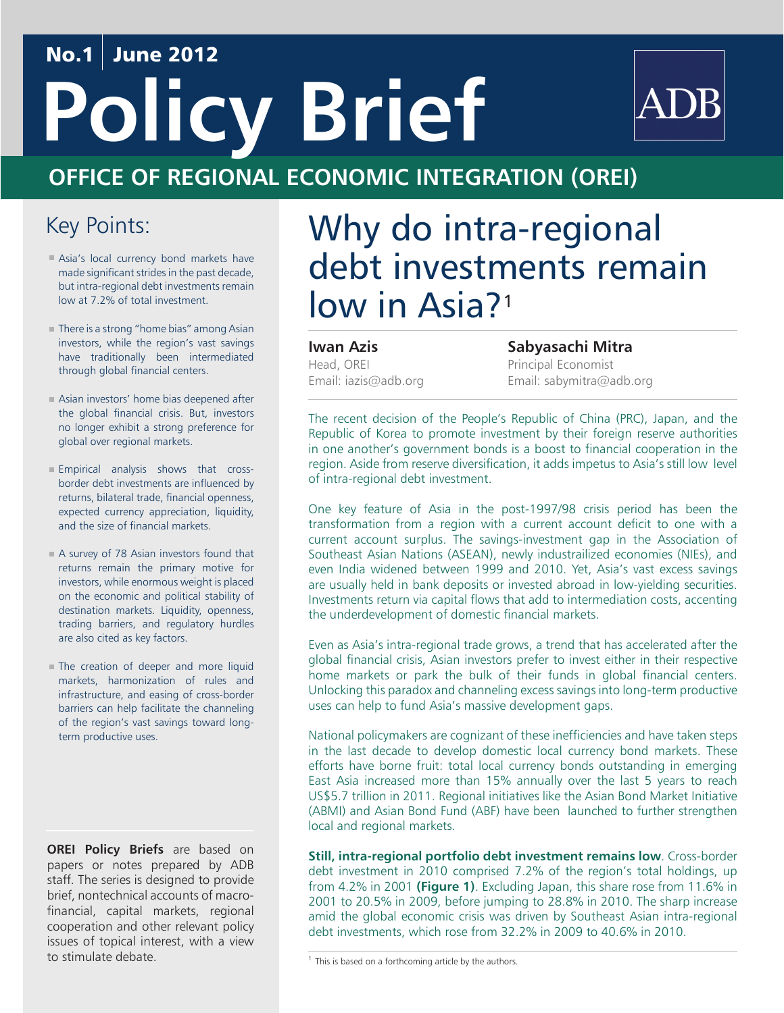## No.1 June 2012

# **Policy Brief**



# **OFFICE OF REGIONAL ECONOMIC INTEGRATION (OREI)**

## Key Points:

- Asia's local currency bond markets have made significant strides in the past decade, but intra-regional debt investments remain low at 7.2% of total investment.
- There is a strong "home bias" among Asian investors, while the region's vast savings have traditionally been intermediated through global financial centers.
- Asian investors' home bias deepened after the global financial crisis. But, investors no longer exhibit a strong preference for global over regional markets.
- Empirical analysis shows that crossborder debt investments are influenced by returns, bilateral trade, financial openness, expected currency appreciation, liquidity, and the size of financial markets.
- A survey of 78 Asian investors found that returns remain the primary motive for investors, while enormous weight is placed on the economic and political stability of destination markets. Liquidity, openness, trading barriers, and regulatory hurdles are also cited as key factors.
- The creation of deeper and more liquid markets, harmonization of rules and infrastructure, and easing of cross-border barriers can help facilitate the channeling of the region's vast savings toward longterm productive uses.

**OREI Policy Briefs** are based on papers or notes prepared by ADB staff. The series is designed to provide brief, nontechnical accounts of macrofinancial, capital markets, regional cooperation and other relevant policy issues of topical interest, with a view to stimulate debate.

# Why do intra-regional debt investments remain low in Asia?<sup>1</sup>

### **Iwan Azis**

Head, OREI Email: iazis@adb.org **Sabyasachi Mitra** Principal Economist Email: sabymitra@adb.org

The recent decision of the People's Republic of China (PRC), Japan, and the Republic of Korea to promote investment by their foreign reserve authorities in one another's government bonds is a boost to financial cooperation in the region. Aside from reserve diversification, it adds impetus to Asia's still low level of intra-regional debt investment.

One key feature of Asia in the post-1997/98 crisis period has been the transformation from a region with a current account deficit to one with a current account surplus. The savings-investment gap in the Association of Southeast Asian Nations (ASEAN), newly industrailized economies (NIEs), and even India widened between 1999 and 2010. Yet, Asia's vast excess savings are usually held in bank deposits or invested abroad in low-yielding securities. Investments return via capital flows that add to intermediation costs, accenting the underdevelopment of domestic financial markets.

Even as Asia's intra-regional trade grows, a trend that has accelerated after the global financial crisis, Asian investors prefer to invest either in their respective home markets or park the bulk of their funds in global financial centers. Unlocking this paradox and channeling excess savings into long-term productive uses can help to fund Asia's massive development gaps.

National policymakers are cognizant of these inefficiencies and have taken steps in the last decade to develop domestic local currency bond markets. These efforts have borne fruit: total local currency bonds outstanding in emerging East Asia increased more than 15% annually over the last 5 years to reach US\$5.7 trillion in 2011. Regional initiatives like the Asian Bond Market Initiative (ABMI) and Asian Bond Fund (ABF) have been launched to further strengthen local and regional markets.

**Still, intra-regional portfolio debt investment remains low**. Cross-border debt investment in 2010 comprised 7.2% of the region's total holdings, up from 4.2% in 2001 **(Figure 1)**. Excluding Japan, this share rose from 11.6% in 2001 to 20.5% in 2009, before jumping to 28.8% in 2010. The sharp increase amid the global economic crisis was driven by Southeast Asian intra-regional debt investments, which rose from 32.2% in 2009 to 40.6% in 2010.

 $1$  This is based on a forthcoming article by the authors.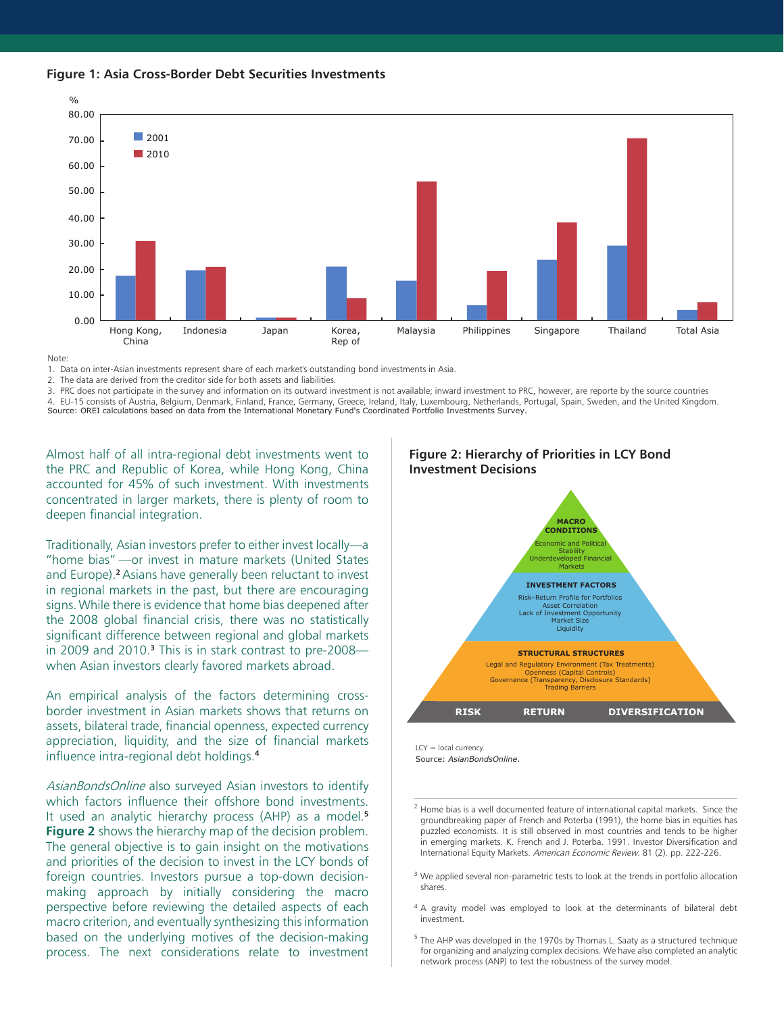



Note:

1. Data on inter-Asian investments represent share of each market's outstanding bond investments in Asia.

2. The data are derived from the creditor side for both assets and liabilities.

3. PRC does not participate in the survey and information on its outward investment is not available; inward investment to PRC, however, are reporte by the source countries 4. EU-15 consists of Austria, Belgium, Denmark, Finland, France, Germany, Greece, Ireland, Italy, Luxembourg, Netherlands, Portugal, Spain, Sweden, and the United Kingdom. Source: OREI calculations based on data from the International Monetary Fund's Coordinated Portfolio Investments Survey.

Almost half of all intra-regional debt investments went to the PRC and Republic of Korea, while Hong Kong, China accounted for 45% of such investment. With investments concentrated in larger markets, there is plenty of room to deepen financial integration.

Traditionally, Asian investors prefer to either invest locally—a "home bias" —or invest in mature markets (United States and Europe).**2** Asians have generally been reluctant to invest in regional markets in the past, but there are encouraging signs.While there is evidence that home bias deepened after the 2008 global financial crisis, there was no statistically significant difference between regional and global markets in 2009 and 2010.**3** This is in stark contrast to pre-2008 when Asian investors clearly favored markets abroad.

An empirical analysis of the factors determining crossborder investment in Asian markets shows that returns on assets, bilateral trade, financial openness, expected currency appreciation, liquidity, and the size of financial markets influence intra-regional debt holdings.**<sup>4</sup>**

AsianBondsOnline also surveyed Asian investors to identify which factors influence their offshore bond investments. It used an analytic hierarchy process (AHP) as a model.**<sup>5</sup> Figure 2** shows the hierarchy map of the decision problem. The general objective is to gain insight on the motivations and priorities of the decision to invest in the LCY bonds of foreign countries. Investors pursue a top-down decisionmaking approach by initially considering the macro perspective before reviewing the detailed aspects of each macro criterion, and eventually synthesizing this information based on the underlying motives of the decision-making process. The next considerations relate to investment

#### **Figure 2: Hierarchy of Priorities in LCY Bond Investment Decisions**



LCY = local currency Source: *AsianBondsOnline*.

 $2$  Home bias is a well documented feature of international capital markets. Since the groundbreaking paper of French and Poterba (1991), the home bias in equities has puzzled economists. It is still observed in most countries and tends to be higher in emerging markets. K. French and J. Poterba. 1991. Investor Diversification and International Equity Markets. American Economic Review. 81 (2). pp. 222-226.

- <sup>3</sup> We applied several non-parametric tests to look at the trends in portfolio allocation shares.
- <sup>4</sup> A gravity model was employed to look at the determinants of bilateral debt investment.

 $5$  The AHP was developed in the 1970s by Thomas L. Saaty as a structured technique for organizing and analyzing complex decisions. We have also completed an analytic network process (ANP) to test the robustness of the survey model.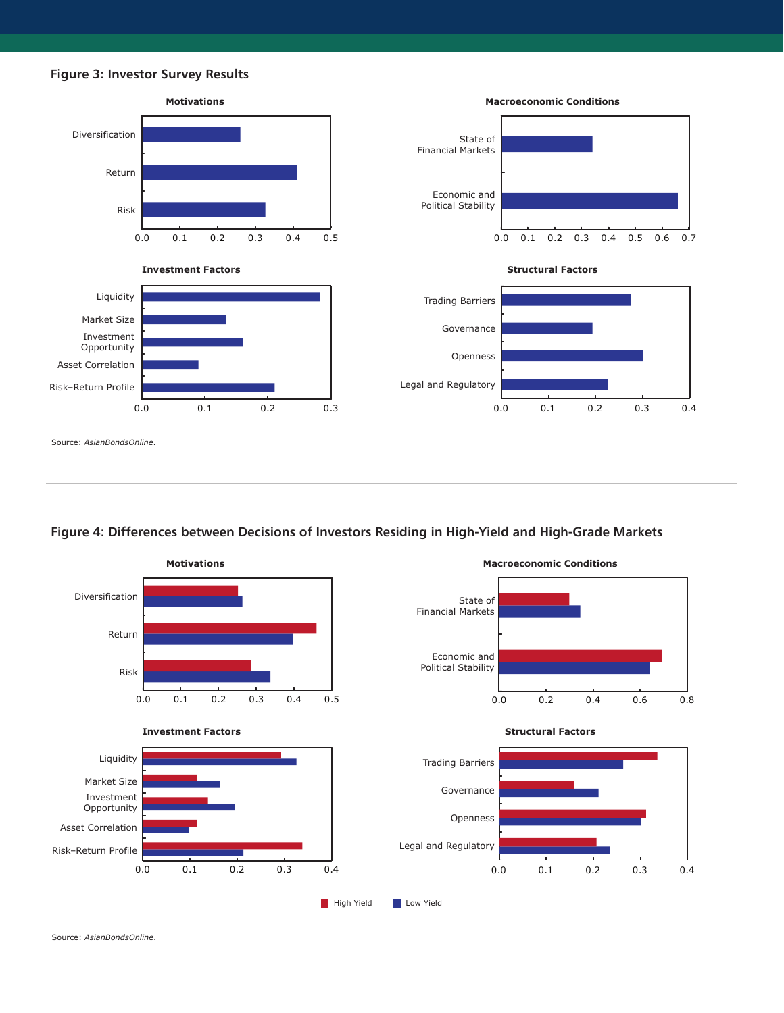

**Figure 4: Differences between Decisions of Investors Residing in High-Yield and High-Grade Markets**



Source: *AsianBondsOnline*.

**Figure 3: Investor Survey Results**